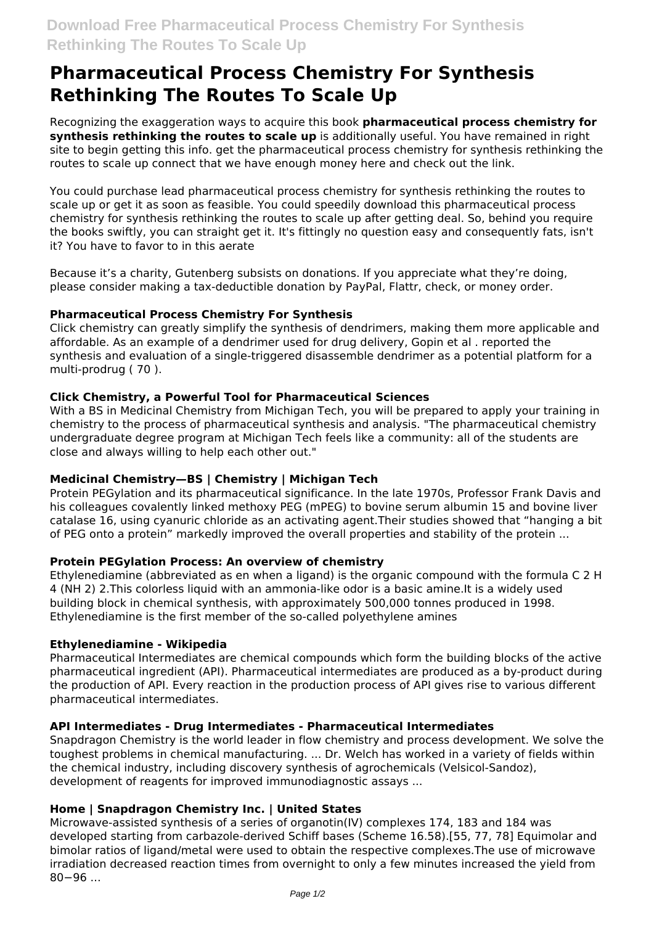# **Pharmaceutical Process Chemistry For Synthesis Rethinking The Routes To Scale Up**

Recognizing the exaggeration ways to acquire this book **pharmaceutical process chemistry for synthesis rethinking the routes to scale up** is additionally useful. You have remained in right site to begin getting this info. get the pharmaceutical process chemistry for synthesis rethinking the routes to scale up connect that we have enough money here and check out the link.

You could purchase lead pharmaceutical process chemistry for synthesis rethinking the routes to scale up or get it as soon as feasible. You could speedily download this pharmaceutical process chemistry for synthesis rethinking the routes to scale up after getting deal. So, behind you require the books swiftly, you can straight get it. It's fittingly no question easy and consequently fats, isn't it? You have to favor to in this aerate

Because it's a charity, Gutenberg subsists on donations. If you appreciate what they're doing, please consider making a tax-deductible donation by PayPal, Flattr, check, or money order.

## **Pharmaceutical Process Chemistry For Synthesis**

Click chemistry can greatly simplify the synthesis of dendrimers, making them more applicable and affordable. As an example of a dendrimer used for drug delivery, Gopin et al . reported the synthesis and evaluation of a single-triggered disassemble dendrimer as a potential platform for a multi-prodrug ( 70 ).

## **Click Chemistry, a Powerful Tool for Pharmaceutical Sciences**

With a BS in Medicinal Chemistry from Michigan Tech, you will be prepared to apply your training in chemistry to the process of pharmaceutical synthesis and analysis. "The pharmaceutical chemistry undergraduate degree program at Michigan Tech feels like a community: all of the students are close and always willing to help each other out."

## **Medicinal Chemistry—BS | Chemistry | Michigan Tech**

Protein PEGylation and its pharmaceutical significance. In the late 1970s, Professor Frank Davis and his colleagues covalently linked methoxy PEG (mPEG) to bovine serum albumin 15 and bovine liver catalase 16, using cyanuric chloride as an activating agent.Their studies showed that "hanging a bit of PEG onto a protein" markedly improved the overall properties and stability of the protein ...

# **Protein PEGylation Process: An overview of chemistry**

Ethylenediamine (abbreviated as en when a ligand) is the organic compound with the formula C 2 H 4 (NH 2) 2.This colorless liquid with an ammonia-like odor is a basic amine.It is a widely used building block in chemical synthesis, with approximately 500,000 tonnes produced in 1998. Ethylenediamine is the first member of the so-called polyethylene amines

## **Ethylenediamine - Wikipedia**

Pharmaceutical Intermediates are chemical compounds which form the building blocks of the active pharmaceutical ingredient (API). Pharmaceutical intermediates are produced as a by-product during the production of API. Every reaction in the production process of API gives rise to various different pharmaceutical intermediates.

## **API Intermediates - Drug Intermediates - Pharmaceutical Intermediates**

Snapdragon Chemistry is the world leader in flow chemistry and process development. We solve the toughest problems in chemical manufacturing. ... Dr. Welch has worked in a variety of fields within the chemical industry, including discovery synthesis of agrochemicals (Velsicol-Sandoz), development of reagents for improved immunodiagnostic assays ...

## **Home | Snapdragon Chemistry Inc. | United States**

Microwave-assisted synthesis of a series of organotin(IV) complexes 174, 183 and 184 was developed starting from carbazole-derived Schiff bases (Scheme 16.58).[55, 77, 78] Equimolar and bimolar ratios of ligand/metal were used to obtain the respective complexes.The use of microwave irradiation decreased reaction times from overnight to only a few minutes increased the yield from 80−96 ...